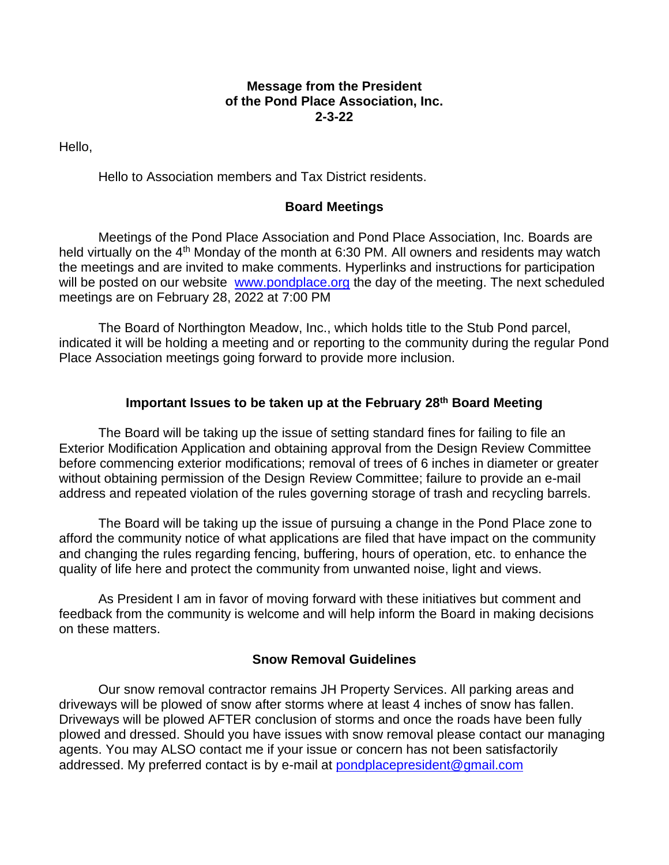#### **Message from the President of the Pond Place Association, Inc. 2-3-22**

Hello,

Hello to Association members and Tax District residents.

## **Board Meetings**

Meetings of the Pond Place Association and Pond Place Association, Inc. Boards are held virtually on the 4<sup>th</sup> Monday of the month at 6:30 PM. All owners and residents may watch the meetings and are invited to make comments. Hyperlinks and instructions for participation will be posted on our website [www.pondplace.org](http://www.pondplace.org/) the day of the meeting. The next scheduled meetings are on February 28, 2022 at 7:00 PM

The Board of Northington Meadow, Inc., which holds title to the Stub Pond parcel, indicated it will be holding a meeting and or reporting to the community during the regular Pond Place Association meetings going forward to provide more inclusion.

# **Important Issues to be taken up at the February 28th Board Meeting**

The Board will be taking up the issue of setting standard fines for failing to file an Exterior Modification Application and obtaining approval from the Design Review Committee before commencing exterior modifications; removal of trees of 6 inches in diameter or greater without obtaining permission of the Design Review Committee; failure to provide an e-mail address and repeated violation of the rules governing storage of trash and recycling barrels.

The Board will be taking up the issue of pursuing a change in the Pond Place zone to afford the community notice of what applications are filed that have impact on the community and changing the rules regarding fencing, buffering, hours of operation, etc. to enhance the quality of life here and protect the community from unwanted noise, light and views.

As President I am in favor of moving forward with these initiatives but comment and feedback from the community is welcome and will help inform the Board in making decisions on these matters.

#### **Snow Removal Guidelines**

Our snow removal contractor remains JH Property Services. All parking areas and driveways will be plowed of snow after storms where at least 4 inches of snow has fallen. Driveways will be plowed AFTER conclusion of storms and once the roads have been fully plowed and dressed. Should you have issues with snow removal please contact our managing agents. You may ALSO contact me if your issue or concern has not been satisfactorily addressed. My preferred contact is by e-mail at [pondplacepresident@gmail.com](mailto:pondplacepresident@gmail.com)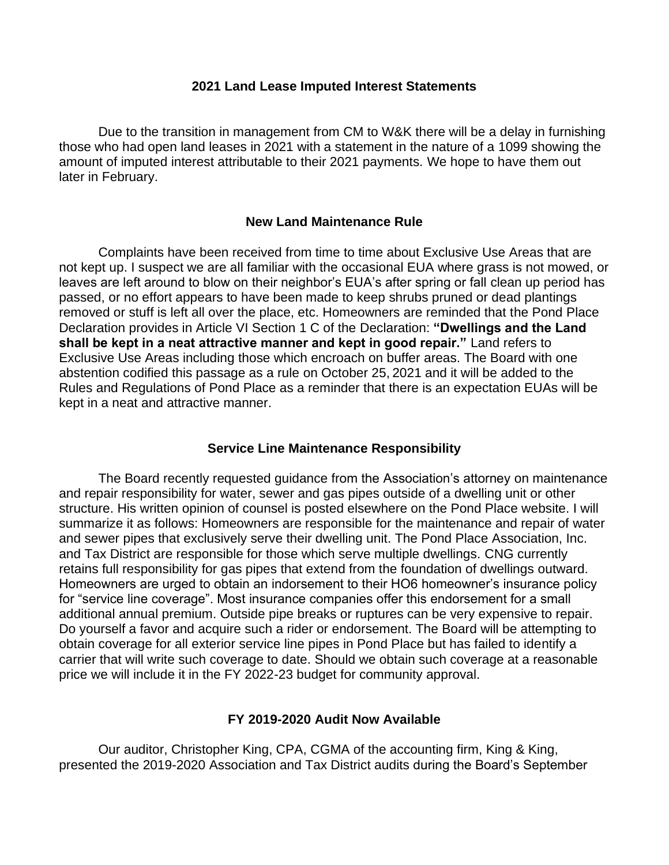#### **2021 Land Lease Imputed Interest Statements**

Due to the transition in management from CM to W&K there will be a delay in furnishing those who had open land leases in 2021 with a statement in the nature of a 1099 showing the amount of imputed interest attributable to their 2021 payments. We hope to have them out later in February.

#### **New Land Maintenance Rule**

Complaints have been received from time to time about Exclusive Use Areas that are not kept up. I suspect we are all familiar with the occasional EUA where grass is not mowed, or leaves are left around to blow on their neighbor's EUA's after spring or fall clean up period has passed, or no effort appears to have been made to keep shrubs pruned or dead plantings removed or stuff is left all over the place, etc. Homeowners are reminded that the Pond Place Declaration provides in Article VI Section 1 C of the Declaration: **"Dwellings and the Land shall be kept in a neat attractive manner and kept in good repair."** Land refers to Exclusive Use Areas including those which encroach on buffer areas. The Board with one abstention codified this passage as a rule on October 25, 2021 and it will be added to the Rules and Regulations of Pond Place as a reminder that there is an expectation EUAs will be kept in a neat and attractive manner.

#### **Service Line Maintenance Responsibility**

The Board recently requested guidance from the Association's attorney on maintenance and repair responsibility for water, sewer and gas pipes outside of a dwelling unit or other structure. His written opinion of counsel is posted elsewhere on the Pond Place website. I will summarize it as follows: Homeowners are responsible for the maintenance and repair of water and sewer pipes that exclusively serve their dwelling unit. The Pond Place Association, Inc. and Tax District are responsible for those which serve multiple dwellings. CNG currently retains full responsibility for gas pipes that extend from the foundation of dwellings outward. Homeowners are urged to obtain an indorsement to their HO6 homeowner's insurance policy for "service line coverage". Most insurance companies offer this endorsement for a small additional annual premium. Outside pipe breaks or ruptures can be very expensive to repair. Do yourself a favor and acquire such a rider or endorsement. The Board will be attempting to obtain coverage for all exterior service line pipes in Pond Place but has failed to identify a carrier that will write such coverage to date. Should we obtain such coverage at a reasonable price we will include it in the FY 2022-23 budget for community approval.

#### **FY 2019-2020 Audit Now Available**

Our auditor, Christopher King, CPA, CGMA of the accounting firm, King & King, presented the 2019-2020 Association and Tax District audits during the Board's September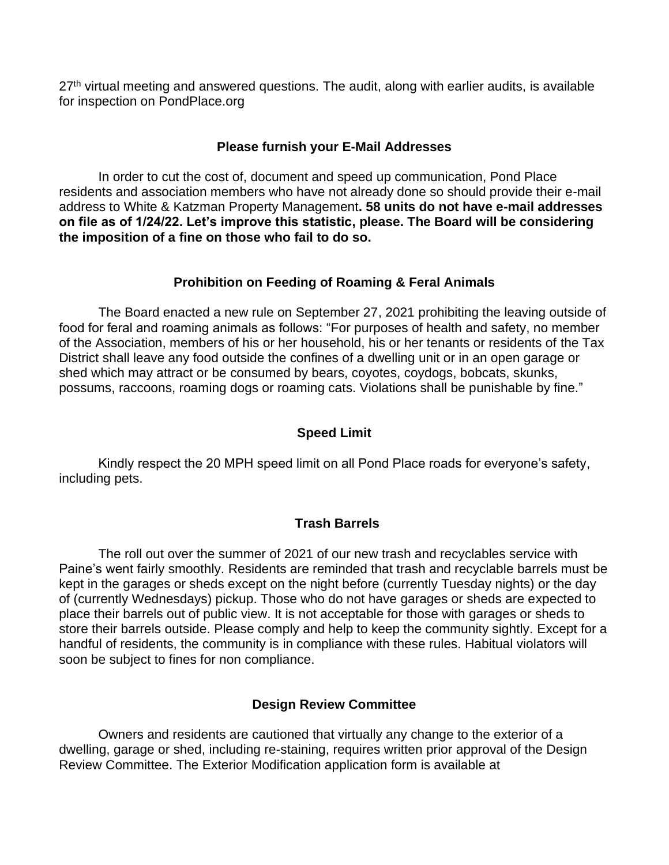27<sup>th</sup> virtual meeting and answered questions. The audit, along with earlier audits, is available for inspection on PondPlace.org

## **Please furnish your E-Mail Addresses**

In order to cut the cost of, document and speed up communication, Pond Place residents and association members who have not already done so should provide their e-mail address to White & Katzman Property Management**. 58 units do not have e-mail addresses on file as of 1/24/22. Let's improve this statistic, please. The Board will be considering the imposition of a fine on those who fail to do so.**

# **Prohibition on Feeding of Roaming & Feral Animals**

The Board enacted a new rule on September 27, 2021 prohibiting the leaving outside of food for feral and roaming animals as follows: "For purposes of health and safety, no member of the Association, members of his or her household, his or her tenants or residents of the Tax District shall leave any food outside the confines of a dwelling unit or in an open garage or shed which may attract or be consumed by bears, coyotes, coydogs, bobcats, skunks, possums, raccoons, roaming dogs or roaming cats. Violations shall be punishable by fine."

# **Speed Limit**

Kindly respect the 20 MPH speed limit on all Pond Place roads for everyone's safety, including pets.

## **Trash Barrels**

The roll out over the summer of 2021 of our new trash and recyclables service with Paine's went fairly smoothly. Residents are reminded that trash and recyclable barrels must be kept in the garages or sheds except on the night before (currently Tuesday nights) or the day of (currently Wednesdays) pickup. Those who do not have garages or sheds are expected to place their barrels out of public view. It is not acceptable for those with garages or sheds to store their barrels outside. Please comply and help to keep the community sightly. Except for a handful of residents, the community is in compliance with these rules. Habitual violators will soon be subject to fines for non compliance.

## **Design Review Committee**

Owners and residents are cautioned that virtually any change to the exterior of a dwelling, garage or shed, including re-staining, requires written prior approval of the Design Review Committee. The Exterior Modification application form is available at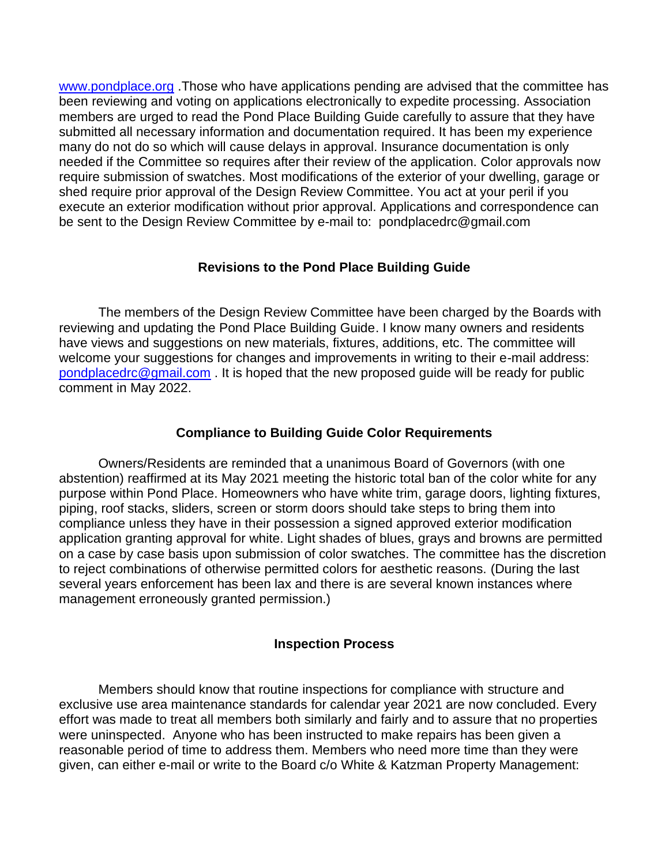[www.pondplace.org](http://www.pondplace.org/) .Those who have applications pending are advised that the committee has been reviewing and voting on applications electronically to expedite processing. Association members are urged to read the Pond Place Building Guide carefully to assure that they have submitted all necessary information and documentation required. It has been my experience many do not do so which will cause delays in approval. Insurance documentation is only needed if the Committee so requires after their review of the application. Color approvals now require submission of swatches. Most modifications of the exterior of your dwelling, garage or shed require prior approval of the Design Review Committee. You act at your peril if you execute an exterior modification without prior approval. Applications and correspondence can be sent to the Design Review Committee by e-mail to: pondplacedrc@gmail.com

#### **Revisions to the Pond Place Building Guide**

The members of the Design Review Committee have been charged by the Boards with reviewing and updating the Pond Place Building Guide. I know many owners and residents have views and suggestions on new materials, fixtures, additions, etc. The committee will welcome your suggestions for changes and improvements in writing to their e-mail address: [pondplacedrc@gmail.com](mailto:pondplacedrc@gmail.com) . It is hoped that the new proposed guide will be ready for public comment in May 2022.

#### **Compliance to Building Guide Color Requirements**

Owners/Residents are reminded that a unanimous Board of Governors (with one abstention) reaffirmed at its May 2021 meeting the historic total ban of the color white for any purpose within Pond Place. Homeowners who have white trim, garage doors, lighting fixtures, piping, roof stacks, sliders, screen or storm doors should take steps to bring them into compliance unless they have in their possession a signed approved exterior modification application granting approval for white. Light shades of blues, grays and browns are permitted on a case by case basis upon submission of color swatches. The committee has the discretion to reject combinations of otherwise permitted colors for aesthetic reasons. (During the last several years enforcement has been lax and there is are several known instances where management erroneously granted permission.)

## **Inspection Process**

Members should know that routine inspections for compliance with structure and exclusive use area maintenance standards for calendar year 2021 are now concluded. Every effort was made to treat all members both similarly and fairly and to assure that no properties were uninspected. Anyone who has been instructed to make repairs has been given a reasonable period of time to address them. Members who need more time than they were given, can either e-mail or write to the Board c/o White & Katzman Property Management: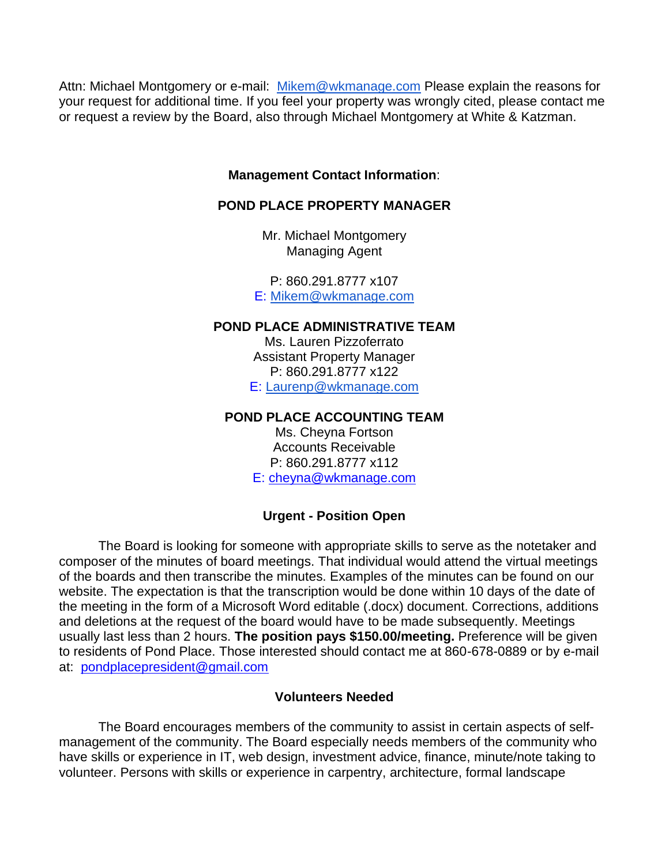Attn: Michael Montgomery or e-mail: [Mikem@wkmanage.com](mailto:Mikem@wkmanage.com) Please explain the reasons for your request for additional time. If you feel your property was wrongly cited, please contact me or request a review by the Board, also through Michael Montgomery at White & Katzman.

## **Management Contact Information**:

# **POND PLACE PROPERTY MANAGER**

Mr. Michael Montgomery Managing Agent

P: 860.291.8777 x107 E: [Mikem@wkmanage.com](mailto:Mikem@wkmanage.com)

## **POND PLACE ADMINISTRATIVE TEAM**

Ms. Lauren Pizzoferrato Assistant Property Manager P: 860.291.8777 x122 E: [Laurenp@wkmanage.com](mailto:Laurenp@wkmanage.com)

#### **POND PLACE ACCOUNTING TEAM**

Ms. Cheyna Fortson Accounts Receivable P: 860.291.8777 x112 E: [cheyna@wkmanage.com](mailto:cheyna@wkmanage.com)

## **Urgent - Position Open**

The Board is looking for someone with appropriate skills to serve as the notetaker and composer of the minutes of board meetings. That individual would attend the virtual meetings of the boards and then transcribe the minutes. Examples of the minutes can be found on our website. The expectation is that the transcription would be done within 10 days of the date of the meeting in the form of a Microsoft Word editable (.docx) document. Corrections, additions and deletions at the request of the board would have to be made subsequently. Meetings usually last less than 2 hours. **The position pays \$150.00/meeting.** Preference will be given to residents of Pond Place. Those interested should contact me at 860-678-0889 or by e-mail at: [pondplacepresident@gmail.com](mailto:pondplacepresident@gmail.com)

## **Volunteers Needed**

The Board encourages members of the community to assist in certain aspects of selfmanagement of the community. The Board especially needs members of the community who have skills or experience in IT, web design, investment advice, finance, minute/note taking to volunteer. Persons with skills or experience in carpentry, architecture, formal landscape